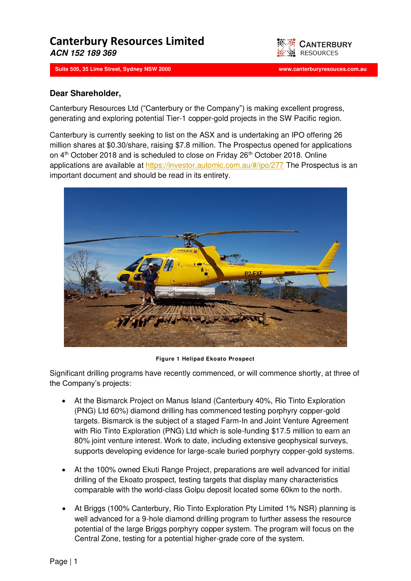## **Canterbury Resources Limited ACN 152 189 369**

**Suite 505, 35 Lime Street, Sydney NSW 2000 www.canterburyresouces.com.au**



## **Dear Shareholder,**

Canterbury Resources Ltd ("Canterbury or the Company") is making excellent progress, generating and exploring potential Tier-1 copper-gold projects in the SW Pacific region.

ww.canterbury.com.com.autom.com/www.canterburyresources.com/www.canterburyresources.com

Canterbury is currently seeking to list on the ASX and is undertaking an IPO offering 26 million shares at \$0.30/share, raising \$7.8 million. The Prospectus opened for applications on 4<sup>th</sup> October 2018 and is scheduled to close on Friday 26<sup>th</sup> October 2018. Online applications are available at <https://investor.automic.com.au/#/ipo/277>The Prospectus is an important document and should be read in its entirety.



**Figure 1 Helipad Ekoato Prospect** 

Significant drilling programs have recently commenced, or will commence shortly, at three of the Company's projects:

- At the Bismarck Project on Manus Island (Canterbury 40%, Rio Tinto Exploration (PNG) Ltd 60%) diamond drilling has commenced testing porphyry copper-gold targets. Bismarck is the subject of a staged Farm-In and Joint Venture Agreement with Rio Tinto Exploration (PNG) Ltd which is sole-funding \$17.5 million to earn an 80% joint venture interest. Work to date, including extensive geophysical surveys, supports developing evidence for large-scale buried porphyry copper-gold systems.
- At the 100% owned Ekuti Range Project, preparations are well advanced for initial drilling of the Ekoato prospect, testing targets that display many characteristics comparable with the world-class Golpu deposit located some 60km to the north.
- At Briggs (100% Canterbury, Rio Tinto Exploration Pty Limited 1% NSR) planning is well advanced for a 9-hole diamond drilling program to further assess the resource potential of the large Briggs porphyry copper system. The program will focus on the Central Zone, testing for a potential higher-grade core of the system.